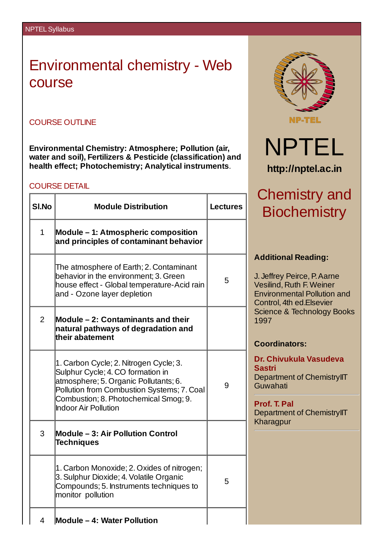# Environmental chemistry - Web course

### COURSE OUTLINE

**Environmental Chemistry: Atmosphere; Pollution (air, water and soil), Fertilizers & Pesticide (classification) and health effect; Photochemistry; Analytical instruments**.

#### COURSE DETAIL

| <b>SI.No</b>   | <b>Module Distribution</b>                                                                                                                                                                                                                 | <b>Lectures</b> |
|----------------|--------------------------------------------------------------------------------------------------------------------------------------------------------------------------------------------------------------------------------------------|-----------------|
| $\mathbf{1}$   | <b>Module – 1: Atmospheric composition</b><br>and principles of contaminant behavior                                                                                                                                                       |                 |
|                | The atmosphere of Earth; 2. Contaminant<br>behavior in the environment; 3. Green<br>house effect - Global temperature-Acid rain<br>and - Ozone layer depletion                                                                             | 5               |
| $\overline{2}$ | <b>Module – 2: Contaminants and their</b><br>natural pathways of degradation and<br>their abatement                                                                                                                                        |                 |
|                | 1. Carbon Cycle; 2. Nitrogen Cycle; 3.<br>Sulphur Cycle; 4. CO formation in<br>atmosphere; 5. Organic Pollutants; 6.<br>Pollution from Combustion Systems; 7. Coal<br>Combustion; 8. Photochemical Smog; 9.<br><b>Indoor Air Pollution</b> | 9               |
| 3              | <b>Module - 3: Air Pollution Control</b><br><b>Techniques</b>                                                                                                                                                                              |                 |
|                | 1. Carbon Monoxide; 2. Oxides of nitrogen;<br>3. Sulphur Dioxide; 4. Volatile Organic<br>Compounds; 5. Instruments techniques to<br>monitor pollution                                                                                      | 5               |
| 4              | <b>Module - 4: Water Pollution</b>                                                                                                                                                                                                         |                 |





# hemistry and: **Biochemistry**

### **Additional Reading:**

effrey Peirce, P. Aarne silind, Ruth F. Weiner Environmental Pollution and ntrol, 4th ed.Elsevier ence & Technology Books  $37<sup>°</sup>$ 

### **Coordinators:**

**Dr. Chivukula Vasudeva Sastri** oartment of ChemistryIIT wahati

**Prof. T. Pal** oartment of ChemistryIIT aragpur